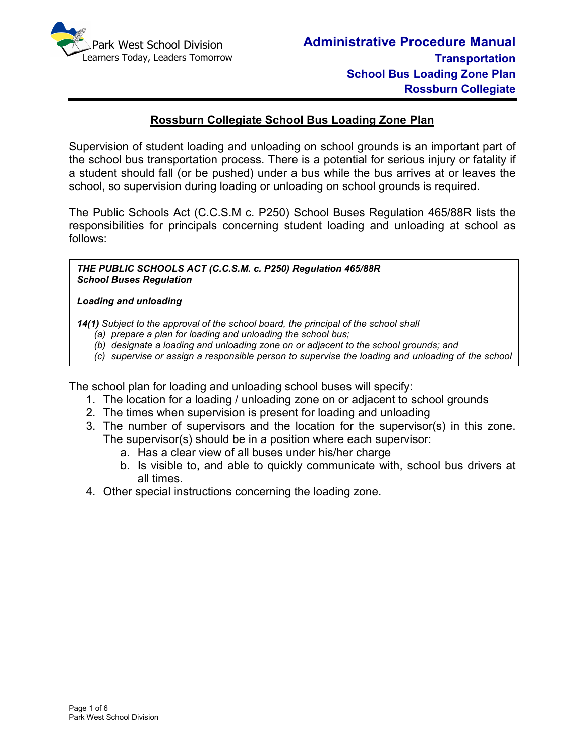

## **Rossburn Collegiate School Bus Loading Zone Plan**

Supervision of student loading and unloading on school grounds is an important part of the school bus transportation process. There is a potential for serious injury or fatality if a student should fall (or be pushed) under a bus while the bus arrives at or leaves the school, so supervision during loading or unloading on school grounds is required.

The Public Schools Act (C.C.S.M c. P250) School Buses Regulation 465/88R lists the responsibilities for principals concerning student loading and unloading at school as follows:

*THE PUBLIC SCHOOLS ACT (C.C.S.M. c. P250) Regulation 465/88R School Buses Regulation* 

#### *Loading and unloading*

*bus.*

*14(1) Subject to the approval of the school board, the principal of the school shall* 

- *(a) prepare a plan for loading and unloading the school bus;*
- *(b) designate a loading and unloading zone on or adjacent to the school grounds; and*
- *(c) supervise or assign a responsible person to supervise the loading and unloading of the school*

The school plan for loading and unloading school buses will specify:

- 1. The location for a loading / unloading zone on or adjacent to school grounds
- 2. The times when supervision is present for loading and unloading
- 3. The number of supervisors and the location for the supervisor(s) in this zone. The supervisor(s) should be in a position where each supervisor:
	- a. Has a clear view of all buses under his/her charge
	- b. Is visible to, and able to quickly communicate with, school bus drivers at all times.
- 4. Other special instructions concerning the loading zone.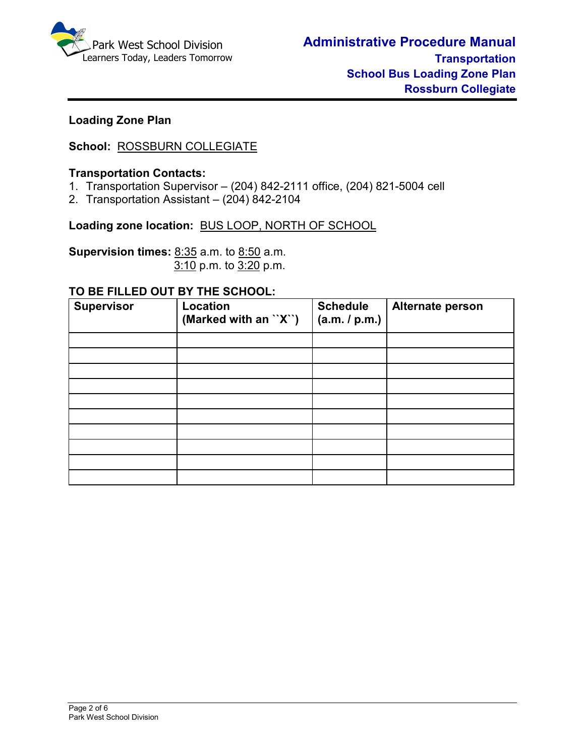

# **Loading Zone Plan**

# **School:** ROSSBURN COLLEGIATE

### **Transportation Contacts:**

- 1. Transportation Supervisor (204) 842-2111 office, (204) 821-5004 cell
- 2. Transportation Assistant (204) 842-2104

**Loading zone location:** BUS LOOP, NORTH OF SCHOOL

**Supervision times:** 8:35 a.m. to 8:50 a.m.3:10 p.m. to 3:20 p.m.

#### **TO BE FILLED OUT BY THE SCHOOL:**

| <b>Supervisor</b> | <b>Location</b><br>(Marked with an ``X``) | <b>Schedule</b><br>(a.m. / p.m.) | Alternate person |
|-------------------|-------------------------------------------|----------------------------------|------------------|
|                   |                                           |                                  |                  |
|                   |                                           |                                  |                  |
|                   |                                           |                                  |                  |
|                   |                                           |                                  |                  |
|                   |                                           |                                  |                  |
|                   |                                           |                                  |                  |
|                   |                                           |                                  |                  |
|                   |                                           |                                  |                  |
|                   |                                           |                                  |                  |
|                   |                                           |                                  |                  |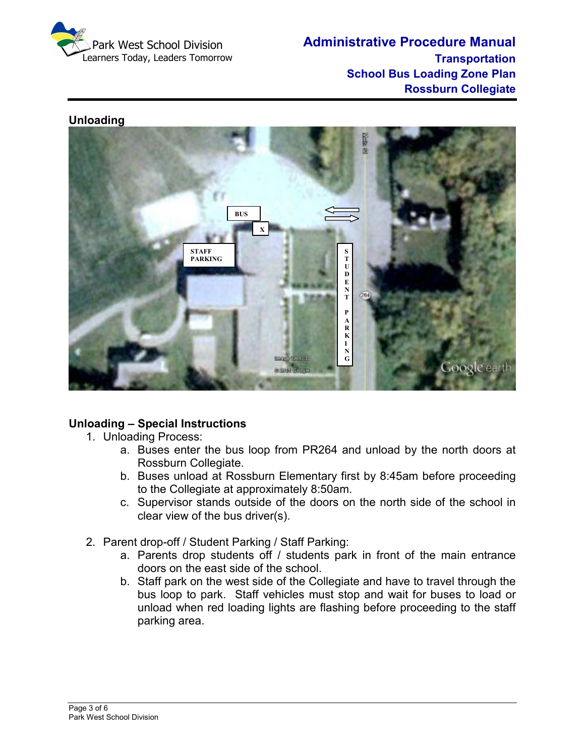

#### **Unloading**



### **Unloading – Special Instructions**

- 1. Unloading Process:
	- a. Buses enter the bus loop from PR264 and unload by the north doors at Rossburn Collegiate.
	- b. Buses unload at Rossburn Elementary first by 8:45am before proceeding to the Collegiate at approximately 8:50am.
	- c. Supervisor stands outside of the doors on the north side of the school in clear view of the bus driver(s).
- 2. Parent drop-off / Student Parking / Staff Parking:
	- a. Parents drop students off / students park in front of the main entrance doors on the east side of the school.
	- b. Staff park on the west side of the Collegiate and have to travel through the bus loop to park. Staff vehicles must stop and wait for buses to load or unload when red loading lights are flashing before proceeding to the staff parking area.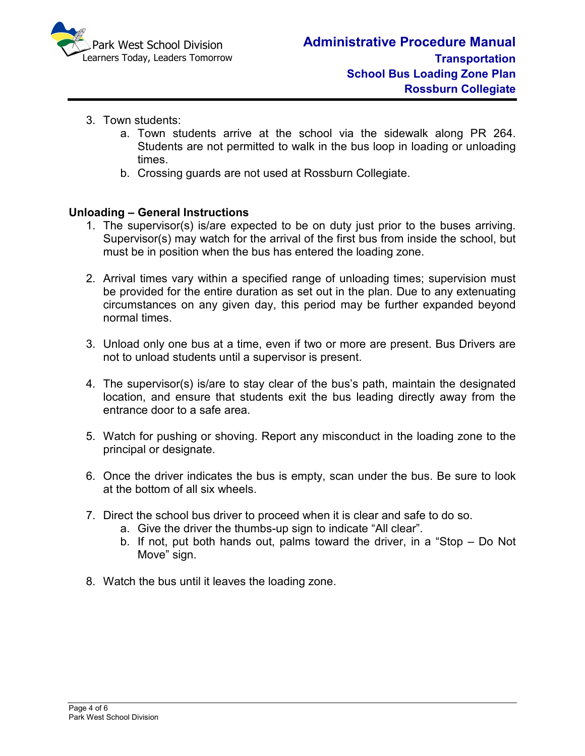

- 3. Town students:
	- a. Town students arrive at the school via the sidewalk along PR 264. Students are not permitted to walk in the bus loop in loading or unloading times.
	- b. Crossing guards are not used at Rossburn Collegiate.

### **Unloading – General Instructions**

- 1. The supervisor(s) is/are expected to be on duty just prior to the buses arriving. Supervisor(s) may watch for the arrival of the first bus from inside the school, but must be in position when the bus has entered the loading zone.
- 2. Arrival times vary within a specified range of unloading times; supervision must be provided for the entire duration as set out in the plan. Due to any extenuating circumstances on any given day, this period may be further expanded beyond normal times.
- 3. Unload only one bus at a time, even if two or more are present. Bus Drivers are not to unload students until a supervisor is present.
- 4. The supervisor(s) is/are to stay clear of the bus's path, maintain the designated location, and ensure that students exit the bus leading directly away from the entrance door to a safe area.
- 5. Watch for pushing or shoving. Report any misconduct in the loading zone to the principal or designate.
- 6. Once the driver indicates the bus is empty, scan under the bus. Be sure to look at the bottom of all six wheels.
- 7. Direct the school bus driver to proceed when it is clear and safe to do so.
	- a. Give the driver the thumbs-up sign to indicate "All clear".
	- b. If not, put both hands out, palms toward the driver, in a "Stop Do Not Move" sign.
- 8. Watch the bus until it leaves the loading zone.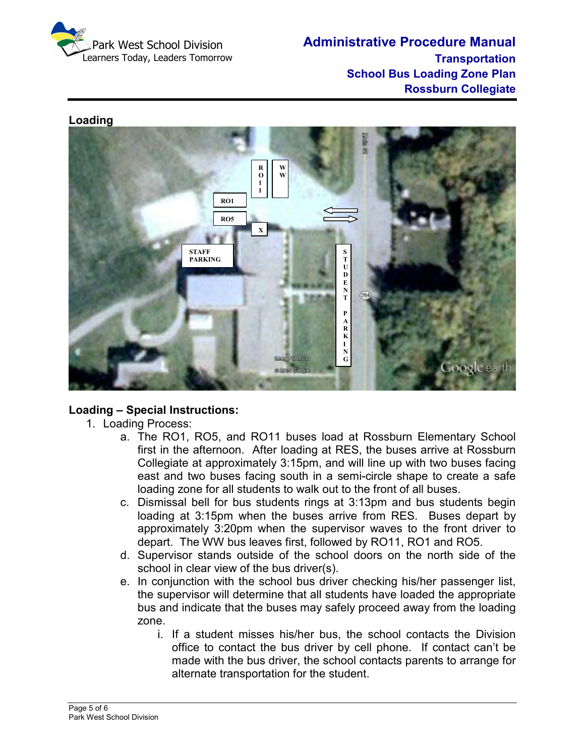

#### **Loading**



# **Loading – Special Instructions:**

- 1. Loading Process:
	- a. The RO1, RO5, and RO11 buses load at Rossburn Elementary School first in the afternoon. After loading at RES, the buses arrive at Rossburn Collegiate at approximately 3:15pm, and will line up with two buses facing east and two buses facing south in a semi-circle shape to create a safe loading zone for all students to walk out to the front of all buses.
	- c. Dismissal bell for bus students rings at 3:13pm and bus students begin loading at 3:15pm when the buses arrive from RES. Buses depart by approximately 3:20pm when the supervisor waves to the front driver to depart. The WW bus leaves first, followed by RO11, RO1 and RO5.
	- d. Supervisor stands outside of the school doors on the north side of the school in clear view of the bus driver(s).
	- e. In conjunction with the school bus driver checking his/her passenger list, the supervisor will determine that all students have loaded the appropriate bus and indicate that the buses may safely proceed away from the loading zone.
		- i. If a student misses his/her bus, the school contacts the Division office to contact the bus driver by cell phone. If contact can't be made with the bus driver, the school contacts parents to arrange for alternate transportation for the student.